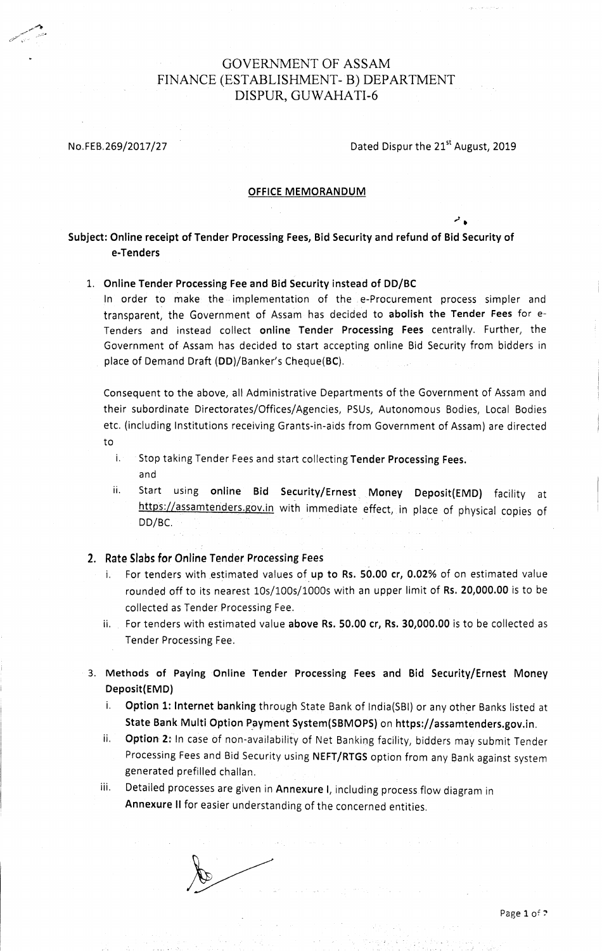### GOVERNMENT OF ASSAM FINANCE (ESTABLISHMENT- B) DEPARTMENT DISPUR, GUWAHATI-6

.,"'! -'

No.FEB.269/2017/27 Dated Dispur the 21<sup>st</sup> August, 2019

ر المم

#### OFFICE MEMORANDUM

#### Subject: Online receipt of Tender Processing Fees, Bid Security and refund of Bid Security of e-Tenders

#### 1. Onllne Tender Processlng Fee and Bid Securlty instead of DD/BC

In order to make the implementation of the e-Procurement process simpler and transparent, the Government of Assam has decided to abolish the Tender Fees for e-Tenders and instead collect online Tender Processing Fees centrally. Further, the Government of Assam has decided to start accepting online Bid Security from bidders in place of Demand Draft (DD)/Banker's Cheque(BC)

consequent to the above, all Administrative Departments of the Government of Assam and their subordinate Directorates/Offices/Agencies, PSUs, Autonomous Bodies, Local Bodies etc. (including lnstitutions receiving Grants-in-aids from Government of Assam) are directed to

- i. Stop taking Tender Fees and start collecting Tender Processing Fees. and
- ii. Start using online Bid Security/Ernest Money Deposit(EMD) facility at https://assamtenders.gov.in with immediate effect, in place of physical copies of DD/BC.

2. Rate Slabs for Online Tender Processing Fees

- i. For tenders with estimated values of up to Rs. 50.00 cr, 0.02% of on estimated value rounded offto its nearest 10s/100s/1000s with an upper limit of Rs, 20,000.00 is to be collected as Tender Processing Fee.
- ii. For tenders with estimated value above Rs. 50.00 cr, Rs. 30,000.00 is to be collected as Tender Processing Fee.
- 3. Methods of Paying Online Tender Processing Fees and Bid Security/Ernest Money Deposit(EMD)
	- i. Option 1: lnternet banking through State Bank of lndia(SBl) or any other Banks listed at State Bank Multi Option Payment System(SBMOPS) on https://assamtenders.gov.in.
	- ii. Option 2: In case of non-availability of Net Banking facility, bidders may submit Tender Processing Fees and Bid Security using NEFT/RTGS option from any Bank against system generated prefilled challan.
	- iii. Detailed processes are given in Annexure I, including process flow diagram in Annexure ll for easier understanding of the concerned entities.

 $\sqrt{2}$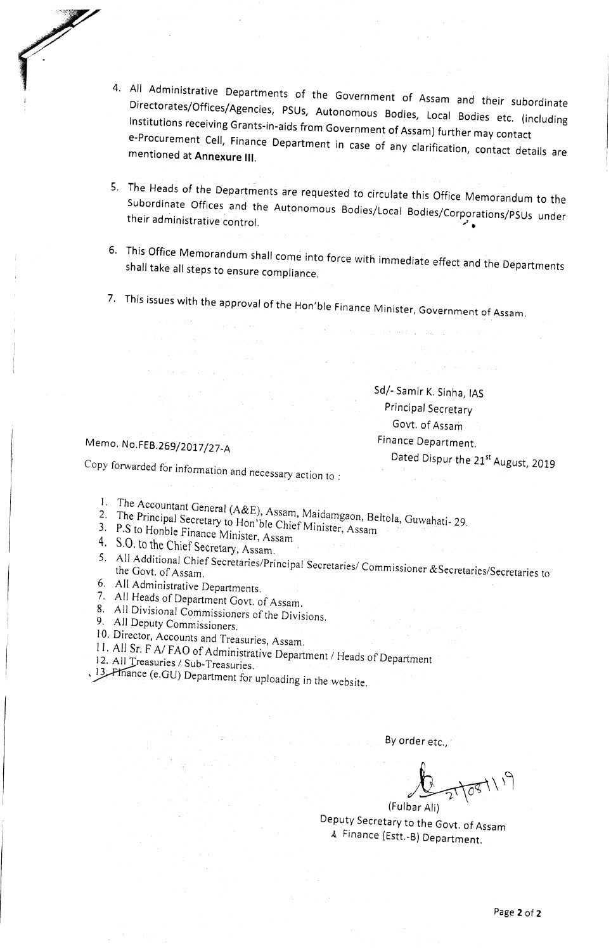- 4. All Administrative Departments of the Government of Assam and their subordinate Directorates/offices/Agencies, All Administrative Departments of the Government of Assam and their subordinate<br>Directorates/Offices/Agencies, PSUs, Autonomous Bodies, Local Bodies etc. (including<br>Institutions receiving Grants-in-aids from Government of mentioned at Annexure III. Institutions receiving Grants-in-aids from Government of Assam) further may contact<br>e-Procurement Cell, Finance Department in case of any clarification, contact details are
- 5. The Heads of the Departments are requested to circulate this Office Memorandum to the Subordinate Offices and the Autonomous Bodies/Local Bodies/Corporations/PSUs under<br>their administrative control.
- 6. This Office Memorandum shall come into force with immediate effect and the Departments<br>shall take all steps to ensure compliance.
- 7. This issues with the approval of the Hon'ble Finance Minister, Government of Assam.

Sd/- Samir K. Sinha, IAS Principal Secretary Gow. of Assam Finance Department.

# Memo. No.FEB.269/2017/27-A

Dated Dispur the 21<sup>st</sup> August, 2019

Copy forwarded for information and necessary action ro :

- 
- 2. The Principal Secretary to Hon'ble Chief Minister, Assam<br>3. P.S to Honble Finance Minister, Assam<br>4. S.O. to the Chief Secretary. Assam. 1. The Accountant General (A&E), Assam, Maidamgaon, Beltola, Guwahati-29.
- 
- 
- 5. All Additional Chief Secretaries/Principal Secretaries/Commissioner & Secretaries/Secretaries to<br>the Govt. of Assam.<br>6. All Administrative Departments.<br>7. All Heads of Department Govt. of Assam.<br>8. All Divisional Commis
- 
- 
- 
- 
- 
- 11. All Sr. F A/ FAO of Administrative Department / Heads of Department
- 12. All Treasuries / Sub-Treasuries.
- $, 13$ . Pinance (e.GU) Department for uploading in the website.

By order etc.,

6  $\int$ 

Deputy Secretary to the Govt. of Assam <br>  $\lambda$  Finance (Estt.-B) Department. (Fulbar Ali)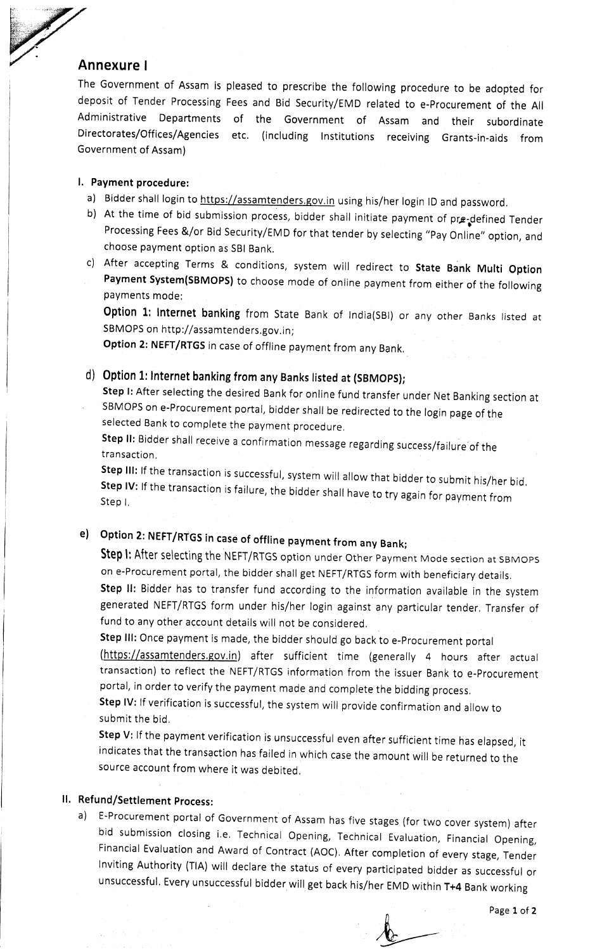#### Annexure <sup>I</sup>

The Government of Assam is pleased to prescribe the following procedure to be adopted for deposit of Tender Processing Fees and Bid security/EMD related to e-procurement of the All Administrative Departments of the Government of Assam and their subordinate Directorates/Offices/Agencies etc. (including Institutions receiving Grants-in-aids from Government of Assam)

#### l. Payment procedure:

- a) Bidder shall login to https://assamtenders.gov.in using his/her login ID and password.
- b) At the time of bid submission process, bidder shall initiate payment of pre-defined Tender Processing Fees &/or Bid Security/EMD for that tender by selecting "Pay Online" option, and choose payment option as SBI Bank,
- c) After accepting Terms & conditions, system will redirect to State Bank Multi Option Payment System(SBMOPS) to choose mode of online payment from either of the following payments mode:

Option 1: Internet banking from State Bank of India(SBI) or any other Banks listed at SBMOPS on http://assamtenders.gov.in;

Option 2: NEFT/RTGS in case of offline payment from any Bank.

# d) Option 1: lnternet banking from any Banks tisted at (SBMOpS);

step l: After selecting the desired Bank for online fund transfer under Net Banking section at SBMOPS on e-Procurement portal, bidder shall be redirected to the login page of the selected Bank to complete the payment procedure.

Step ll: Bidder shall receive a confirmation message regarding success/failure of the<br>action transaction.

Step III: If the transaction is successful, system will allow that bidder to submit his/her bid.<br>Step IV: If the transaction is failure when their Step IV: If the transaction is failure, the bidder shall have to try again for payment from<br>Step L Step l.

# e) Option 2: NEFT/RTGS in case of offline payment from any Bank;

Step I: After selecting the NEFT/RTGS option under Other Payment Mode section at SBMOPS on e-Procurement portal, the bidder shall get NEFT/RTGS form with beneficiary details.

Step II: Bidder has to transfer fund according to the information available in the system generated NEFT/RTGS form under his/her login against any particular tender. Transfer of fund to any other account details will not be considered.

Step III: Once payment is made, the bidder should go back to e-Procurement portal (https://assamtenders.gov.in) after sufficient time (generally 4 hours after actual

transaction) to reflect the NEFT/RTGS information from the issuer Bank to e-procurement portal, in order to verify the payment made and complete the bidding process.

Step IV: If verification is successful, the system will provide confirmation and allow to submit the bid.

Step V: If the payment verification is unsuccessful even after sufficient time has elapsed, it indicates that the transaction has failed in which case the amount will be returned to the source account from where it was debited,

# ll. Refund/Settlement process:

a) E-Procurement portal of Government of Assam has five stages (for two cover system) after bid submission closing i.e. Technical Opening, Technical Evaluation, Financial Opening, Financial Evaluation and Award of Contract (AOC). After completion of every stage, Tender lnviting Authority (TlA) will declare the status of every participated bidder as successful or unsuccessful. Every unsuccessful bidder willget back his/her EMD within T+4 Bank working

Page 1 of 2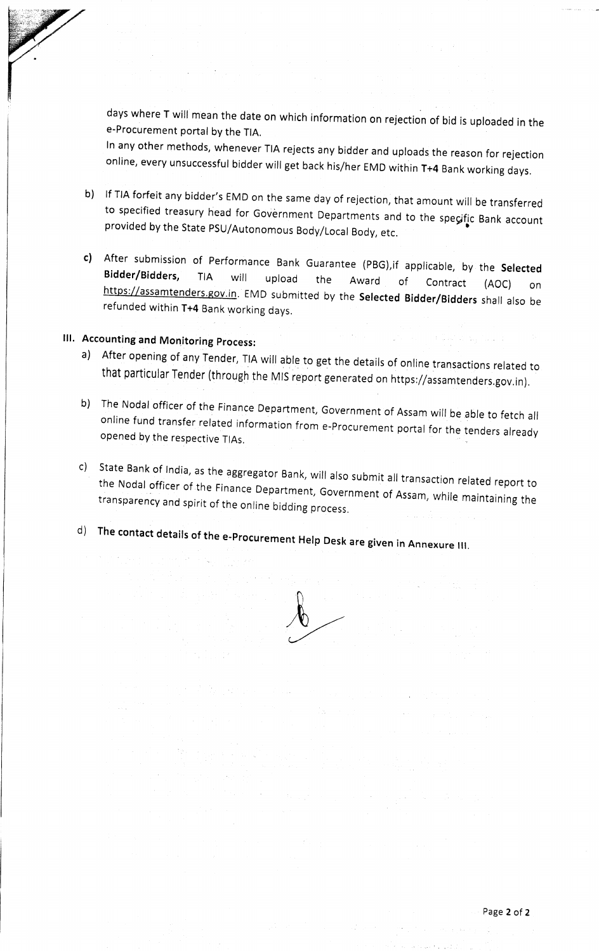days where T will mean the date on which information on rejection of bid is uploaded in the e-Procurement portal by the TIA.<br>In any other methods, whenever TIA rejects any bidder and uploads the reason for rejection

online, every unsuccessful bidder will get back his/her EMD within T+4 Bank working days.

- b) If TIA forfeit any bidder's EMD on the same day of rejection, that amount will be transferred to specified treasury head for Government Departments and to the specific Bank account provided by the State PSU/Autonomous B
- c) After submission of Performance Bank Guarantee (PBG), if applicable, by the Selected Bidder/Bidders, TIA will upload the Award of Contract (AOC) on https://assamtenders.gov.in. EMD submitted by the Selected Bidder/Bidde

# lll. Accounting and Monitoring process:

- a) After opening of any Tender, TIA will able to get the details of online transactions related to that particular Tender (through the MIS report generated on https://assamtenders.gov.in).
- b) The Nodal officer of the Finance Department, Government of Assam will be able to fetch all online fund transfer related information from e-Procurement portal for the tenders already opened by the respective TlAs.
- related report to the Nodal officer of the Finance Department, Government of Assam, while maintaining the<br>transparency and spirit of the online bidding process. c) State Bank of India, as the aggregator Bank, will also submit all transaction
- d) The contact details ofthe e-procurement Help Desk are given in Annexure

 $\sqrt[3]{\frac{1}{2}}$ 

t.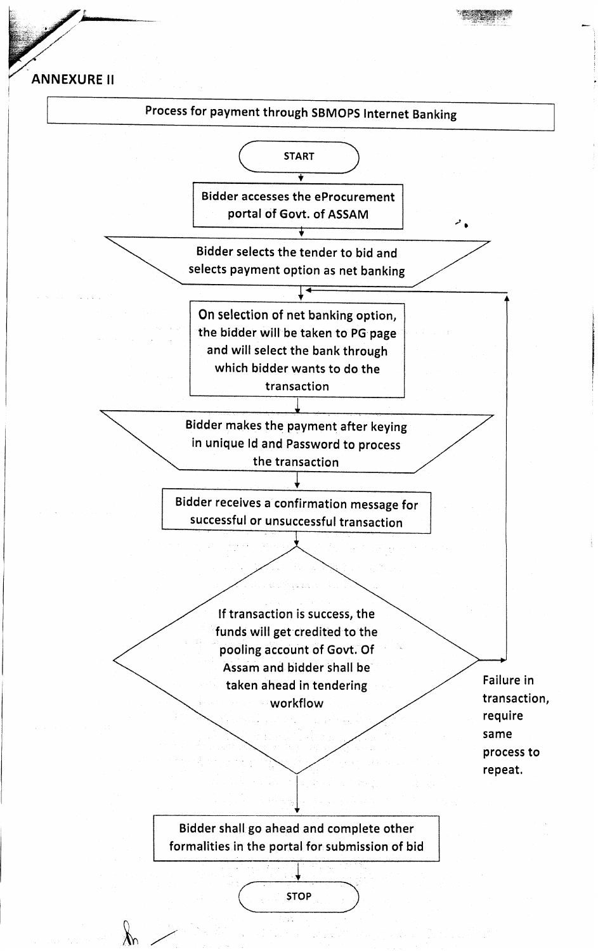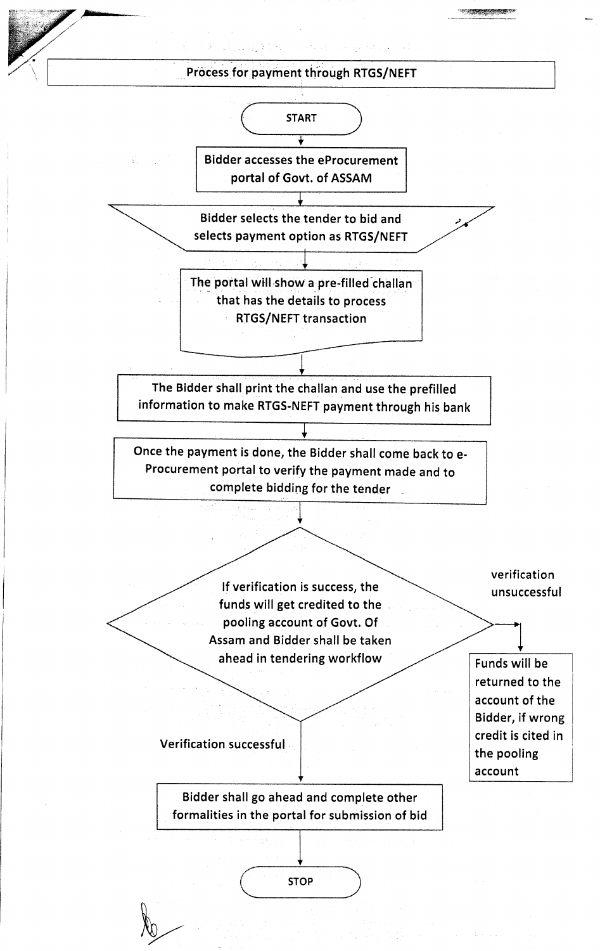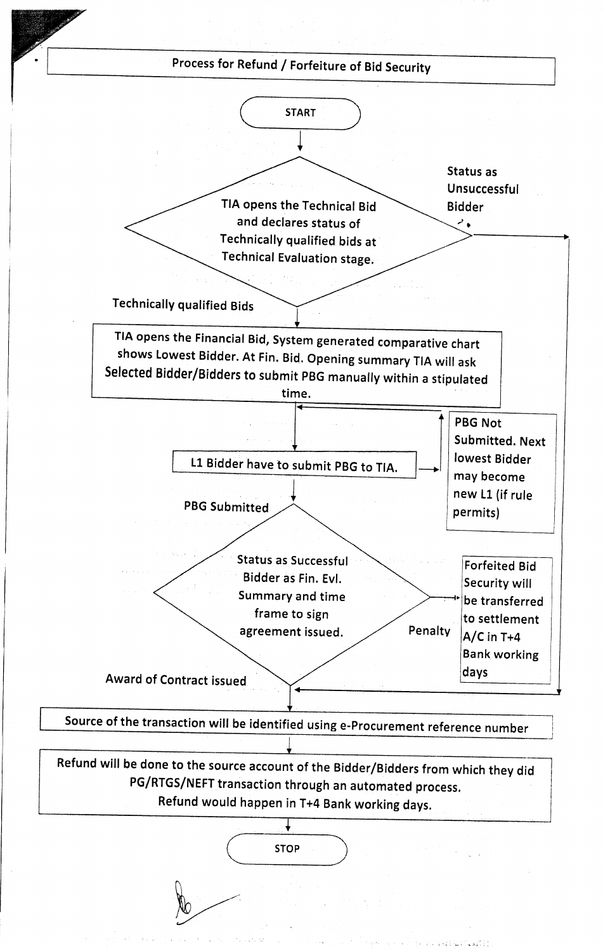